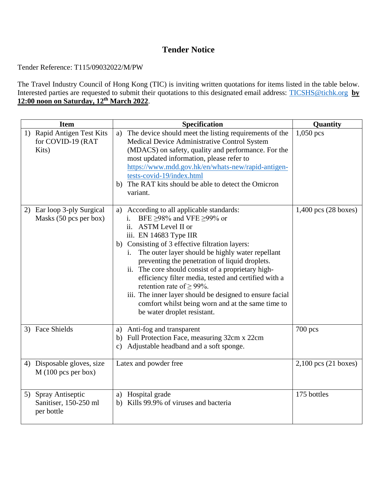## **Tender Notice**

Tender Reference: T115/09032022/M/PW

The Travel Industry Council of Hong Kong (TIC) is inviting written quotations for items listed in the table below. Interested parties are requested to submit their quotations to this designated email address: [TICSHS@tichk.org](mailto:TICSHS@tichk.org) **by 12:00 noon on Saturday, 12 th March 2022**.

| <b>Item</b>                                                | Specification                                                                                                                                                                                                                                                                                                                                                                                                                                                                                                                                                                                                             | Quantity                         |
|------------------------------------------------------------|---------------------------------------------------------------------------------------------------------------------------------------------------------------------------------------------------------------------------------------------------------------------------------------------------------------------------------------------------------------------------------------------------------------------------------------------------------------------------------------------------------------------------------------------------------------------------------------------------------------------------|----------------------------------|
| 1) Rapid Antigen Test Kits<br>for COVID-19 (RAT<br>Kits)   | a) The device should meet the listing requirements of the<br>Medical Device Administrative Control System<br>(MDACS) on safety, quality and performance. For the<br>most updated information, please refer to<br>https://www.mdd.gov.hk/en/whats-new/rapid-antigen-<br>tests-covid-19/index.html<br>The RAT kits should be able to detect the Omicron<br>b)<br>variant.                                                                                                                                                                                                                                                   | $1,050$ pcs                      |
| 2) Ear loop 3-ply Surgical<br>Masks (50 pcs per box)       | According to all applicable standards:<br>a)<br>BFE $\geq$ 98% and VFE $\geq$ 99% or<br>$i$ .<br>ii. ASTM Level II or<br>iii. EN 14683 Type IIR<br>b) Consisting of 3 effective filtration layers:<br>The outer layer should be highly water repellant<br>$\mathbf{i}$ .<br>preventing the penetration of liquid droplets.<br>ii. The core should consist of a proprietary high-<br>efficiency filter media, tested and certified with a<br>retention rate of $\geq$ 99%.<br>iii. The inner layer should be designed to ensure facial<br>comfort whilst being worn and at the same time to<br>be water droplet resistant. | $1,400$ pcs $(28 \text{ boxes})$ |
| 3) Face Shields                                            | a) Anti-fog and transparent<br>b) Full Protection Face, measuring 32cm x 22cm<br>Adjustable headband and a soft sponge.<br>c)                                                                                                                                                                                                                                                                                                                                                                                                                                                                                             | $700$ pcs                        |
| 4) Disposable gloves, size<br>$M(100)$ pcs per box)        | Latex and powder free                                                                                                                                                                                                                                                                                                                                                                                                                                                                                                                                                                                                     | $2,100$ pcs $(21$ boxes)         |
| 5) Spray Antiseptic<br>Sanitiser, 150-250 ml<br>per bottle | a) Hospital grade<br>Kills 99.9% of viruses and bacteria<br>b)                                                                                                                                                                                                                                                                                                                                                                                                                                                                                                                                                            | 175 bottles                      |